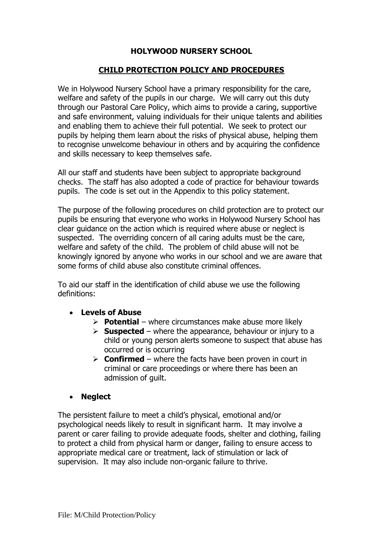### **HOLYWOOD NURSERY SCHOOL**

### **CHILD PROTECTION POLICY AND PROCEDURES**

We in Holywood Nursery School have a primary responsibility for the care, welfare and safety of the pupils in our charge. We will carry out this duty through our Pastoral Care Policy, which aims to provide a caring, supportive and safe environment, valuing individuals for their unique talents and abilities and enabling them to achieve their full potential. We seek to protect our pupils by helping them learn about the risks of physical abuse, helping them to recognise unwelcome behaviour in others and by acquiring the confidence and skills necessary to keep themselves safe.

All our staff and students have been subject to appropriate background checks. The staff has also adopted a code of practice for behaviour towards pupils. The code is set out in the Appendix to this policy statement.

The purpose of the following procedures on child protection are to protect our pupils be ensuring that everyone who works in Holywood Nursery School has clear guidance on the action which is required where abuse or neglect is suspected. The overriding concern of all caring adults must be the care, welfare and safety of the child. The problem of child abuse will not be knowingly ignored by anyone who works in our school and we are aware that some forms of child abuse also constitute criminal offences.

To aid our staff in the identification of child abuse we use the following definitions:

### • **Levels of Abuse**

- ➢ **Potential** where circumstances make abuse more likely
- $\triangleright$  **Suspected** where the appearance, behaviour or injury to a child or young person alerts someone to suspect that abuse has occurred or is occurring
- ➢ **Confirmed** where the facts have been proven in court in criminal or care proceedings or where there has been an admission of guilt.

### • **Neglect**

The persistent failure to meet a child's physical, emotional and/or psychological needs likely to result in significant harm. It may involve a parent or carer failing to provide adequate foods, shelter and clothing, failing to protect a child from physical harm or danger, failing to ensure access to appropriate medical care or treatment, lack of stimulation or lack of supervision. It may also include non-organic failure to thrive.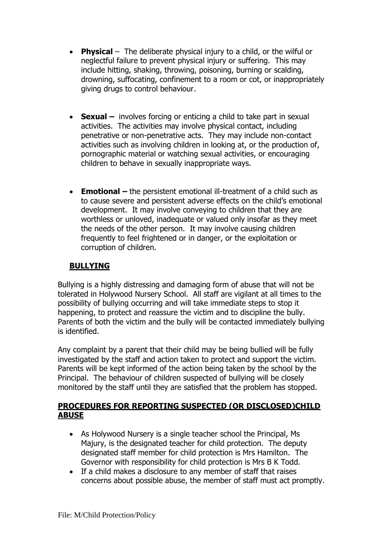- **Physical** The deliberate physical injury to a child, or the wilful or neglectful failure to prevent physical injury or suffering. This may include hitting, shaking, throwing, poisoning, burning or scalding, drowning, suffocating, confinement to a room or cot, or inappropriately giving drugs to control behaviour.
- **Sexual** involves forcing or enticing a child to take part in sexual activities. The activities may involve physical contact, including penetrative or non-penetrative acts. They may include non-contact activities such as involving children in looking at, or the production of, pornographic material or watching sexual activities, or encouraging children to behave in sexually inappropriate ways.
- **Emotional –** the persistent emotional ill-treatment of a child such as to cause severe and persistent adverse effects on the child's emotional development. It may involve conveying to children that they are worthless or unloved, inadequate or valued only insofar as they meet the needs of the other person. It may involve causing children frequently to feel frightened or in danger, or the exploitation or corruption of children.

# **BULLYING**

Bullying is a highly distressing and damaging form of abuse that will not be tolerated in Holywood Nursery School. All staff are vigilant at all times to the possibility of bullying occurring and will take immediate steps to stop it happening, to protect and reassure the victim and to discipline the bully. Parents of both the victim and the bully will be contacted immediately bullying is identified.

Any complaint by a parent that their child may be being bullied will be fully investigated by the staff and action taken to protect and support the victim. Parents will be kept informed of the action being taken by the school by the Principal. The behaviour of children suspected of bullying will be closely monitored by the staff until they are satisfied that the problem has stopped.

### **PROCEDURES FOR REPORTING SUSPECTED (OR DISCLOSED)CHILD ABUSE**

- As Holywood Nursery is a single teacher school the Principal, Ms Majury, is the designated teacher for child protection. The deputy designated staff member for child protection is Mrs Hamilton. The Governor with responsibility for child protection is Mrs B K Todd.
- If a child makes a disclosure to any member of staff that raises concerns about possible abuse, the member of staff must act promptly.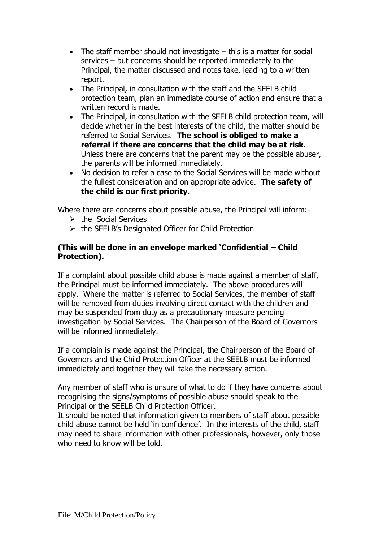- The staff member should not investigate  $-$  this is a matter for social services – but concerns should be reported immediately to the Principal, the matter discussed and notes take, leading to a written report.
- The Principal, in consultation with the staff and the SEELB child protection team, plan an immediate course of action and ensure that a written record is made.
- The Principal, in consultation with the SEELB child protection team, will decide whether in the best interests of the child, the matter should be referred to Social Services. **The school is obliged to make a referral if there are concerns that the child may be at risk.** Unless there are concerns that the parent may be the possible abuser, the parents will be informed immediately.
- No decision to refer a case to the Social Services will be made without the fullest consideration and on appropriate advice. **The safety of the child is our first priority.**

Where there are concerns about possible abuse, the Principal will inform:-

- ➢ the Social Services
- ➢ the SEELB's Designated Officer for Child Protection

#### **(This will be done in an envelope marked 'Confidential – Child Protection).**

If a complaint about possible child abuse is made against a member of staff, the Principal must be informed immediately. The above procedures will apply. Where the matter is referred to Social Services, the member of staff will be removed from duties involving direct contact with the children and may be suspended from duty as a precautionary measure pending investigation by Social Services. The Chairperson of the Board of Governors will be informed immediately.

If a complain is made against the Principal, the Chairperson of the Board of Governors and the Child Protection Officer at the SEELB must be informed immediately and together they will take the necessary action.

Any member of staff who is unsure of what to do if they have concerns about recognising the signs/symptoms of possible abuse should speak to the Principal or the SEELB Child Protection Officer.

It should be noted that information given to members of staff about possible child abuse cannot be held 'in confidence'. In the interests of the child, staff may need to share information with other professionals, however, only those who need to know will be told.